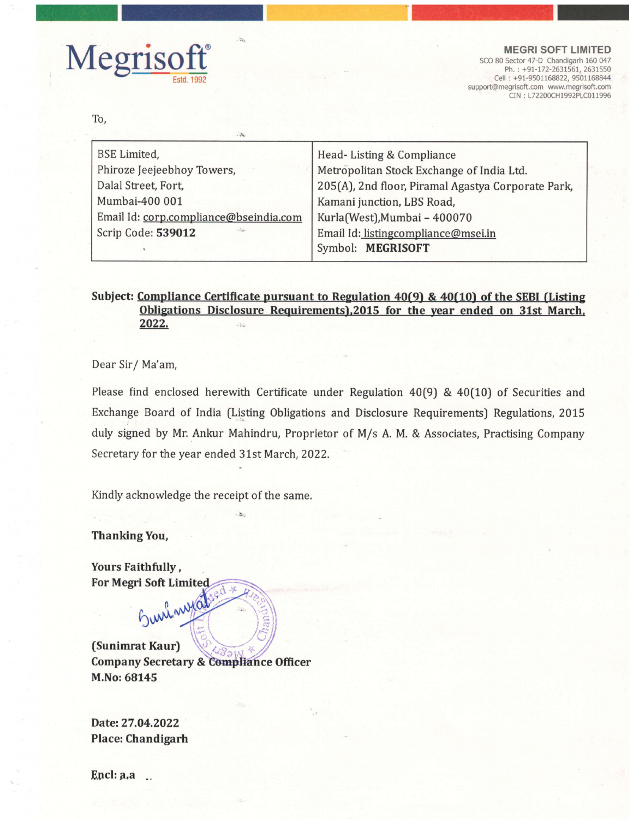

support@megrisoft.com www.megrisoft.com CIN : L72200CH1992PLC011996

To,

| <b>BSE</b> Limited,                    | Head-Listing & Compliance                          |
|----------------------------------------|----------------------------------------------------|
| Phiroze Jeejeebhoy Towers,             | Metropolitan Stock Exchange of India Ltd.          |
| Dalal Street, Fort,                    | 205(A), 2nd floor, Piramal Agastya Corporate Park, |
| Mumbai-400 001                         | Kamani junction, LBS Road,                         |
| Email Id: corp.compliance@bseindia.com | Kurla(West), Mumbai - 400070                       |
| Scrip Code: 539012<br>village.         | Email Id: listingcompliance@msei.in                |
|                                        | Symbol: MEGRISOFT                                  |
|                                        |                                                    |

## Subject: Compliance Certificate pursuant to Regulation 40(9) & 40(10) of the SEBI (Listing Obligations Disclosure Requirements),2015 for the year ended on 31st March, 2022.

Dear Sir/ Ma'am,

Please find enclosed herewith Certificate under Regulation 40(9) & 40(10) of Securities and Exchange Board of India (Listing Obligations and Disclosure Requirements) Regulations, 2015 duly signed by Mr. Ankur Mahindru, Proprietor of M/s A. M. & Associates, Practising Company Secretary for the year ended 31st March, 2022.

Kindly acknowledge the receipt of the same.

Thanking You,

Yours Faithfully , For Megri Soft Limited

Suri wyat

(Sunimrat Kaur) \\-- / Company Secretary & Compliance Officer M.No: 68145

Date: 27.04.2022 Place: Chandigarh

Encl: a,a